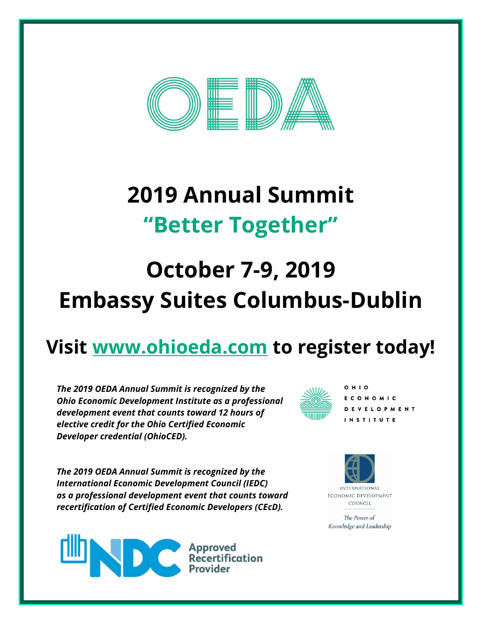

# **2019 Annual Summit "Better Together"**

# **October 7-9, 2019 Embassy Suites Columbus-Dublin**

# **Visit [www.ohioeda.com](http://www.ohioeda.com/) to register today!**

*The 2019 OEDA Annual Summit is recognized by the Ohio Economic Development Institute as a professional development event that counts toward 12 hours of elective credit for the Ohio Certified Economic Developer credential (OhioCED).* 



 $O$ HIO ECONOMIC **DEVELOPMENT INSTITUTE** 

*The 2019 OEDA Annual Summit is recognized by the International Economic Development Council (IEDC) as a professional development event that counts toward recertification of Certified Economic Developers (CEcD).*





The Power of Knowledge and Leadership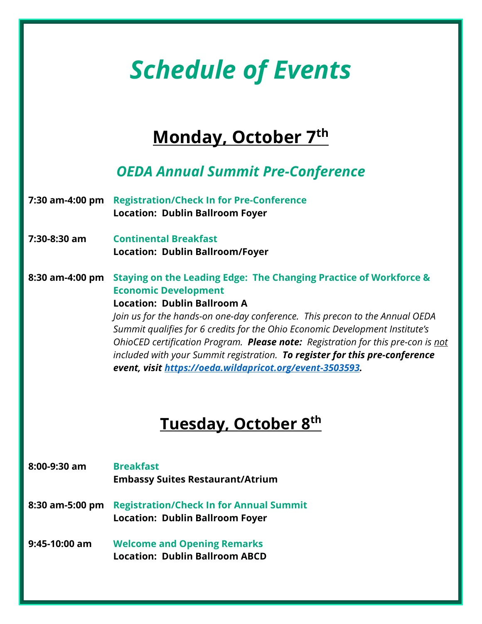# *Schedule of Events*

## **Monday, October 7th**

### *OEDA Annual Summit Pre-Conference*

- **7:30 am-4:00 pm Registration/Check In for Pre-Conference Location: Dublin Ballroom Foyer**
- **7:30-8:30 am Continental Breakfast Location: Dublin Ballroom/Foyer**
- **8:30 am-4:00 pm Staying on the Leading Edge: The Changing Practice of Workforce & Economic Development**

#### **Location: Dublin Ballroom A**

*Join us for the hands-on one-day conference. This precon to the Annual OEDA Summit qualifies for 6 credits for the Ohio Economic Development Institute's OhioCED certification Program. Please note: Registration for this pre-con is not included with your Summit registration. To register for this pre-conference event, visit [https://oeda.wildapricot.org/event-3503593.](https://oeda.wildapricot.org/event-3503593)* 

## **Tuesday, October 8th**

- **8:00-9:30 am Breakfast Embassy Suites Restaurant/Atrium 8:30 am-5:00 pm Registration/Check In for Annual Summit Location: Dublin Ballroom Foyer 9:45-10:00 am Welcome and Opening Remarks**
	- **Location: Dublin Ballroom ABCD**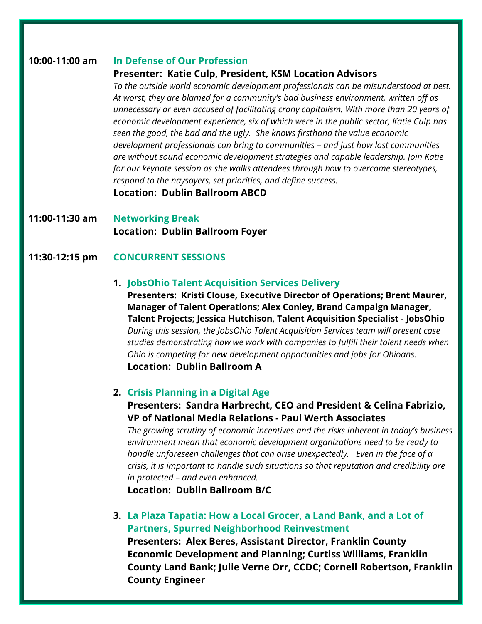#### **10:00-11:00 am In Defense of Our Profession**

#### **Presenter: Katie Culp, President, KSM Location Advisors**

*To the outside world economic development professionals can be misunderstood at best. At worst, they are blamed for a community's bad business environment, written off as unnecessary or even accused of facilitating crony capitalism. With more than 20 years of economic development experience, six of which were in the public sector, Katie Culp has seen the good, the bad and the ugly. She knows firsthand the value economic development professionals can bring to communities – and just how lost communities are without sound economic development strategies and capable leadership. Join Katie for our keynote session as she walks attendees through how to overcome stereotypes, respond to the naysayers, set priorities, and define success.* 

#### **Location: Dublin Ballroom ABCD**

**11:00-11:30 am Networking Break Location: Dublin Ballroom Foyer**

#### **11:30-12:15 pm CONCURRENT SESSIONS**

#### **1. JobsOhio Talent Acquisition Services Delivery**

**Presenters: Kristi Clouse, Executive Director of Operations; Brent Maurer, Manager of Talent Operations; Alex Conley, Brand Campaign Manager, Talent Projects; Jessica Hutchison, Talent Acquisition Specialist - JobsOhio** *During this session, the JobsOhio Talent Acquisition Services team will present case studies demonstrating how we work with companies to fulfill their talent needs when Ohio is competing for new development opportunities and jobs for Ohioans.* **Location: Dublin Ballroom A**

#### **2. Crisis Planning in a Digital Age**

#### **Presenters: Sandra Harbrecht, CEO and President & Celina Fabrizio, VP of National Media Relations - Paul Werth Associates**

*The growing scrutiny of economic incentives and the risks inherent in today's business environment mean that economic development organizations need to be ready to handle unforeseen challenges that can arise unexpectedly. Even in the face of a crisis, it is important to handle such situations so that reputation and credibility are in protected – and even enhanced.*

**Location: Dublin Ballroom B/C**

**3. La Plaza Tapatia: How a Local Grocer, a Land Bank, and a Lot of Partners, Spurred Neighborhood Reinvestment**

**Presenters: Alex Beres, Assistant Director, Franklin County Economic Development and Planning; Curtiss Williams, Franklin County Land Bank; Julie Verne Orr, CCDC; Cornell Robertson, Franklin County Engineer**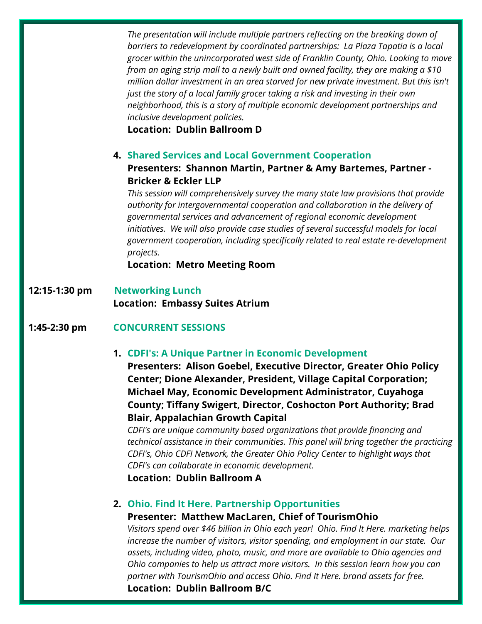*The presentation will include multiple partners reflecting on the breaking down of barriers to redevelopment by coordinated partnerships: La Plaza Tapatia is a local grocer within the unincorporated west side of Franklin County, Ohio. Looking to move from an aging strip mall to a newly built and owned facility, they are making a \$10 million dollar investment in an area starved for new private investment. But this isn't just the story of a local family grocer taking a risk and investing in their own neighborhood, this is a story of multiple economic development partnerships and inclusive development policies.* 

**Location: Dublin Ballroom D**

#### **4. Shared Services and Local Government Cooperation**

#### **Presenters: Shannon Martin, Partner & Amy Bartemes, Partner - Bricker & Eckler LLP**

*This session will comprehensively survey the many state law provisions that provide authority for intergovernmental cooperation and collaboration in the delivery of governmental services and advancement of regional economic development initiatives. We will also provide case studies of several successful models for local government cooperation, including specifically related to real estate re-development projects.*

**Location: Metro Meeting Room**

**12:15-1:30 pm Networking Lunch Location: Embassy Suites Atrium**

#### **1:45-2:30 pm CONCURRENT SESSIONS**

**1. CDFI's: A Unique Partner in Economic Development**

**Presenters: Alison Goebel, Executive Director, Greater Ohio Policy Center; Dione Alexander, President, Village Capital Corporation; Michael May, Economic Development Administrator, Cuyahoga County; Tiffany Swigert, Director, Coshocton Port Authority; Brad Blair, Appalachian Growth Capital**

*CDFI's are unique community based organizations that provide financing and technical assistance in their communities. This panel will bring together the practicing CDFI's, Ohio CDFI Network, the Greater Ohio Policy Center to highlight ways that CDFI's can collaborate in economic development.*

**Location: Dublin Ballroom A**

#### **2. Ohio. Find It Here. Partnership Opportunities**

#### **Presenter: Matthew MacLaren, Chief of TourismOhio**

*Visitors spend over \$46 billion in Ohio each year! Ohio. Find It Here. marketing helps increase the number of visitors, visitor spending, and employment in our state. Our assets, including video, photo, music, and more are available to Ohio agencies and Ohio companies to help us attract more visitors. In this session learn how you can partner with TourismOhio and access Ohio. Find It Here. brand assets for free.* **Location: Dublin Ballroom B/C**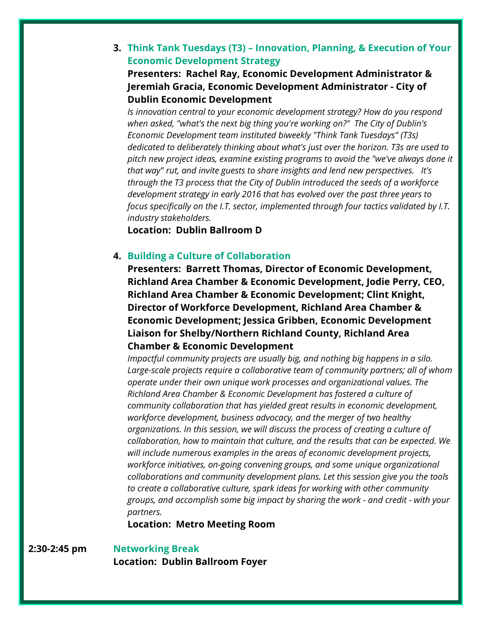### **3. Think Tank Tuesdays (T3) – Innovation, Planning, & Execution of Your Economic Development Strategy**

**Presenters: Rachel Ray, Economic Development Administrator & Jeremiah Gracia, Economic Development Administrator - City of Dublin Economic Development**

*Is innovation central to your economic development strategy? How do you respond when asked, "what's the next big thing you're working on?" The City of Dublin's Economic Development team instituted biweekly "Think Tank Tuesdays" (T3s) dedicated to deliberately thinking about what's just over the horizon. T3s are used to pitch new project ideas, examine existing programs to avoid the "we've always done it that way" rut, and invite guests to share insights and lend new perspectives. It's through the T3 process that the City of Dublin introduced the seeds of a workforce development strategy in early 2016 that has evolved over the past three years to focus specifically on the I.T. sector, implemented through four tactics validated by I.T. industry stakeholders.* 

**Location: Dublin Ballroom D**

#### **4. Building a Culture of Collaboration**

**Presenters: Barrett Thomas, Director of Economic Development, Richland Area Chamber & Economic Development, Jodie Perry, CEO, Richland Area Chamber & Economic Development; Clint Knight, Director of Workforce Development, Richland Area Chamber & Economic Development; Jessica Gribben, Economic Development Liaison for Shelby/Northern Richland County, Richland Area Chamber & Economic Development** 

*Impactful community projects are usually big, and nothing big happens in a silo. Large-scale projects require a collaborative team of community partners; all of whom operate under their own unique work processes and organizational values. The Richland Area Chamber & Economic Development has fostered a culture of community collaboration that has yielded great results in economic development, workforce development, business advocacy, and the merger of two healthy organizations. In this session, we will discuss the process of creating a culture of collaboration, how to maintain that culture, and the results that can be expected. We will include numerous examples in the areas of economic development projects, workforce initiatives, on-going convening groups, and some unique organizational collaborations and community development plans. Let this session give you the tools to create a collaborative culture, spark ideas for working with other community groups, and accomplish some big impact by sharing the work - and credit - with your partners.*

**Location: Metro Meeting Room**

#### **2:30-2:45 pm Networking Break**

**Location: Dublin Ballroom Foyer**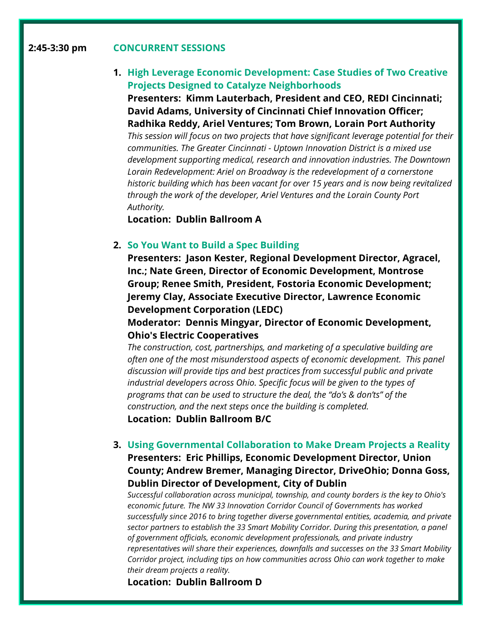#### **2:45-3:30 pm CONCURRENT SESSIONS**

#### **1. High Leverage Economic Development: Case Studies of Two Creative Projects Designed to Catalyze Neighborhoods**

**Presenters: Kimm Lauterbach, President and CEO, REDI Cincinnati; David Adams, University of Cincinnati Chief Innovation Officer; Radhika Reddy, Ariel Ventures; Tom Brown, Lorain Port Authority**

*This session will focus on two projects that have significant leverage potential for their communities. The Greater Cincinnati - Uptown Innovation District is a mixed use development supporting medical, research and innovation industries. The Downtown Lorain Redevelopment: Ariel on Broadway is the redevelopment of a cornerstone historic building which has been vacant for over 15 years and is now being revitalized through the work of the developer, Ariel Ventures and the Lorain County Port Authority.*

**Location: Dublin Ballroom A**

#### **2. So You Want to Build a Spec Building**

**Presenters: Jason Kester, Regional Development Director, Agracel, Inc.; Nate Green, Director of Economic Development, Montrose Group; Renee Smith, President, Fostoria Economic Development; Jeremy Clay, Associate Executive Director, Lawrence Economic Development Corporation (LEDC)**

**Moderator: Dennis Mingyar, Director of Economic Development, Ohio's Electric Cooperatives**

*The construction, cost, partnerships, and marketing of a speculative building are often one of the most misunderstood aspects of economic development. This panel discussion will provide tips and best practices from successful public and private industrial developers across Ohio. Specific focus will be given to the types of programs that can be used to structure the deal, the "do's & don'ts" of the construction, and the next steps once the building is completed.*

**Location: Dublin Ballroom B/C**

#### **3. Using Governmental Collaboration to Make Dream Projects a Reality Presenters: Eric Phillips, Economic Development Director, Union County; Andrew Bremer, Managing Director, DriveOhio; Donna Goss, Dublin Director of Development, City of Dublin**

*Successful collaboration across municipal, township, and county borders is the key to Ohio's economic future. The NW 33 Innovation Corridor Council of Governments has worked successfully since 2016 to bring together diverse governmental entities, academia, and private sector partners to establish the 33 Smart Mobility Corridor. During this presentation, a panel of government officials, economic development professionals, and private industry representatives will share their experiences, downfalls and successes on the 33 Smart Mobility Corridor project, including tips on how communities across Ohio can work together to make their dream projects a reality.*

**Location: Dublin Ballroom D**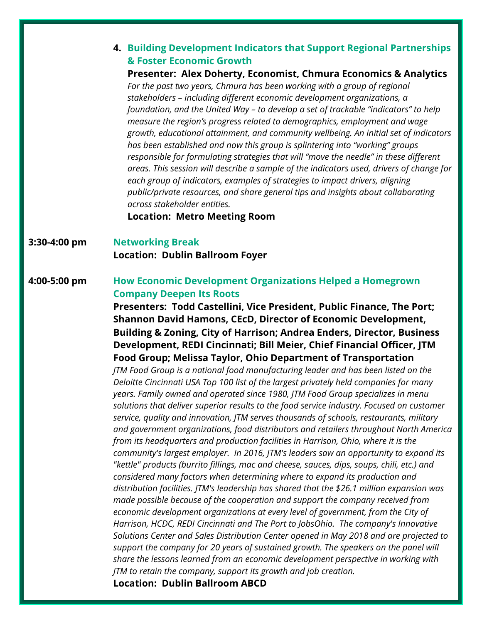#### **4. Building Development Indicators that Support Regional Partnerships & Foster Economic Growth**

### **Presenter: Alex Doherty, Economist, Chmura Economics & Analytics**

For the past two years, Chmura has been working with a group of regional *stakeholders – including different economic development organizations, a foundation, and the United Way – to develop a set of trackable "indicators" to help measure the region's progress related to demographics, employment and wage growth, educational attainment, and community wellbeing. An initial set of indicators has been established and now this group is splintering into "working" groups responsible for formulating strategies that will "move the needle" in these different areas. This session will describe a sample of the indicators used, drivers of change for each group of indicators, examples of strategies to impact drivers, aligning public/private resources, and share general tips and insights about collaborating across stakeholder entities.*

**Location: Metro Meeting Room**

#### **3:30-4:00 pm Networking Break Location: Dublin Ballroom Foyer**

#### **4:00-5:00 pm How Economic Development Organizations Helped a Homegrown Company Deepen Its Roots**

**Presenters: Todd Castellini, Vice President, Public Finance, The Port; Shannon David Hamons, CEcD, Director of Economic Development, Building & Zoning, City of Harrison; Andrea Enders, Director, Business Development, REDI Cincinnati; Bill Meier, Chief Financial Officer, JTM Food Group; Melissa Taylor, Ohio Department of Transportation**

*JTM Food Group is a national food manufacturing leader and has been listed on the Deloitte Cincinnati USA Top 100 list of the largest privately held companies for many years. Family owned and operated since 1980, JTM Food Group specializes in menu solutions that deliver superior results to the food service industry. Focused on customer service, quality and innovation, JTM serves thousands of schools, restaurants, military and government organizations, food distributors and retailers throughout North America from its headquarters and production facilities in Harrison, Ohio, where it is the community's largest employer. In 2016, JTM's leaders saw an opportunity to expand its "kettle" products (burrito fillings, mac and cheese, sauces, dips, soups, chili, etc.) and considered many factors when determining where to expand its production and distribution facilities. JTM's leadership has shared that the \$26.1 million expansion was made possible because of the cooperation and support the company received from economic development organizations at every level of government, from the City of Harrison, HCDC, REDI Cincinnati and The Port to JobsOhio. The company's Innovative Solutions Center and Sales Distribution Center opened in May 2018 and are projected to support the company for 20 years of sustained growth. The speakers on the panel will share the lessons learned from an economic development perspective in working with JTM to retain the company, support its growth and job creation.* **Location: Dublin Ballroom ABCD**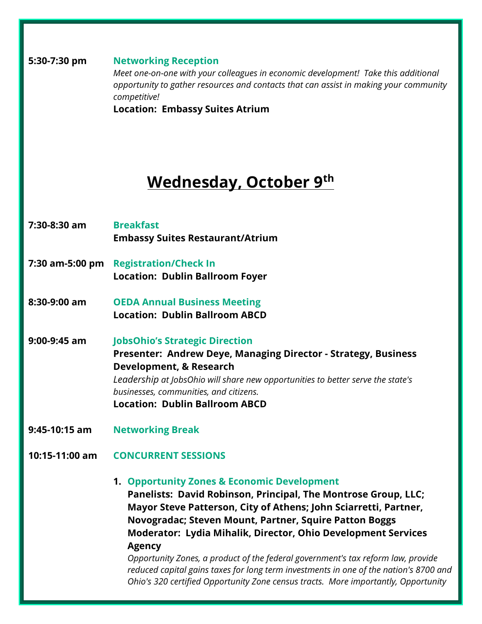**5:30-7:30 pm Networking Reception** *Meet one-on-one with your colleagues in economic development! Take this additional opportunity to gather resources and contacts that can assist in making your community competitive!* **Location: Embassy Suites Atrium**

### **Wednesday, October 9th**

- **7:30-8:30 am Breakfast Embassy Suites Restaurant/Atrium**
- **7:30 am-5:00 pm Registration/Check In Location: Dublin Ballroom Foyer**
- **8:30-9:00 am OEDA Annual Business Meeting Location: Dublin Ballroom ABCD**

**9:00-9:45 am JobsOhio's Strategic Direction Presenter: Andrew Deye, Managing Director - Strategy, Business Development, & Research** *Leadership at JobsOhio will share new opportunities to better serve the state's businesses, communities, and citizens.* **Location: Dublin Ballroom ABCD**

- **9:45-10:15 am Networking Break**
- **10:15-11:00 am CONCURRENT SESSIONS**
	- **1. Opportunity Zones & Economic Development**

**Panelists: David Robinson, Principal, The Montrose Group, LLC; Mayor Steve Patterson, City of Athens; John Sciarretti, Partner, Novogradac; Steven Mount, Partner, Squire Patton Boggs Moderator: Lydia Mihalik, Director, Ohio Development Services Agency**

*Opportunity Zones, a product of the federal government's tax reform law, provide reduced capital gains taxes for long term investments in one of the nation's 8700 and Ohio's 320 certified Opportunity Zone census tracts. More importantly, Opportunity*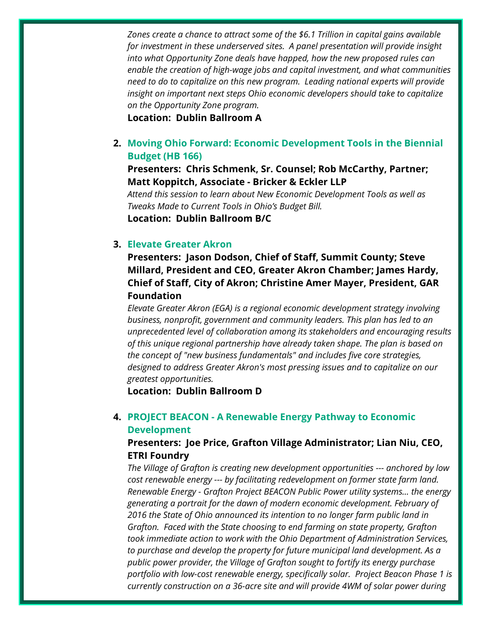*Zones create a chance to attract some of the \$6.1 Trillion in capital gains available for investment in these underserved sites. A panel presentation will provide insight into what Opportunity Zone deals have happed, how the new proposed rules can enable the creation of high-wage jobs and capital investment, and what communities need to do to capitalize on this new program. Leading national experts will provide insight on important next steps Ohio economic developers should take to capitalize on the Opportunity Zone program.*

**Location: Dublin Ballroom A**

**2. Moving Ohio Forward: Economic Development Tools in the Biennial Budget (HB 166)**

**Presenters: Chris Schmenk, Sr. Counsel; Rob McCarthy, Partner; Matt Koppitch, Associate - Bricker & Eckler LLP**

*Attend this session to learn about New Economic Development Tools as well as Tweaks Made to Current Tools in Ohio's Budget Bill.* 

**Location: Dublin Ballroom B/C**

#### **3. Elevate Greater Akron**

**Presenters: Jason Dodson, Chief of Staff, Summit County; Steve Millard, President and CEO, Greater Akron Chamber; James Hardy, Chief of Staff, City of Akron; Christine Amer Mayer, President, GAR Foundation**

*Elevate Greater Akron (EGA) is a regional economic development strategy involving business, nonprofit, government and community leaders. This plan has led to an unprecedented level of collaboration among its stakeholders and encouraging results of this unique regional partnership have already taken shape. The plan is based on the concept of "new business fundamentals" and includes five core strategies, designed to address Greater Akron's most pressing issues and to capitalize on our greatest opportunities.*

**Location: Dublin Ballroom D**

#### **4. PROJECT BEACON - A Renewable Energy Pathway to Economic Development**

#### **Presenters: Joe Price, Grafton Village Administrator; Lian Niu, CEO, ETRI Foundry**

*The Village of Grafton is creating new development opportunities --- anchored by low cost renewable energy --- by facilitating redevelopment on former state farm land. Renewable Energy - Grafton Project BEACON Public Power utility systems... the energy generating a portrait for the dawn of modern economic development. February of 2016 the State of Ohio announced its intention to no longer farm public land in Grafton. Faced with the State choosing to end farming on state property, Grafton took immediate action to work with the Ohio Department of Administration Services, to purchase and develop the property for future municipal land development. As a public power provider, the Village of Grafton sought to fortify its energy purchase portfolio with low-cost renewable energy, specifically solar. Project Beacon Phase 1 is currently construction on a 36-acre site and will provide 4WM of solar power during*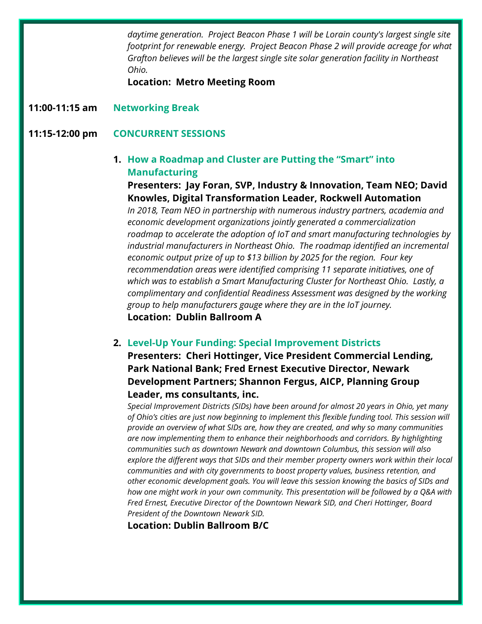*daytime generation. Project Beacon Phase 1 will be Lorain county's largest single site footprint for renewable energy. Project Beacon Phase 2 will provide acreage for what Grafton believes will be the largest single site solar generation facility in Northeast Ohio.* 

**Location: Metro Meeting Room**

**11:00-11:15 am Networking Break**

#### **11:15-12:00 pm CONCURRENT SESSIONS**

#### **1. How a Roadmap and Cluster are Putting the "Smart" into Manufacturing**

**Presenters: Jay Foran, SVP, Industry & Innovation, Team NEO; David Knowles, Digital Transformation Leader, Rockwell Automation**

*In 2018, Team NEO in partnership with numerous industry partners, academia and economic development organizations jointly generated a commercialization roadmap to accelerate the adoption of IoT and smart manufacturing technologies by industrial manufacturers in Northeast Ohio. The roadmap identified an incremental economic output prize of up to \$13 billion by 2025 for the region. Four key recommendation areas were identified comprising 11 separate initiatives, one of which was to establish a Smart Manufacturing Cluster for Northeast Ohio. Lastly, a complimentary and confidential Readiness Assessment was designed by the working group to help manufacturers gauge where they are in the IoT journey.*  **Location: Dublin Ballroom A**

#### **2. Level-Up Your Funding: Special Improvement Districts**

**Presenters: Cheri Hottinger, Vice President Commercial Lending, Park National Bank; Fred Ernest Executive Director, Newark Development Partners; Shannon Fergus, AICP, Planning Group Leader, ms consultants, inc.**

*Special Improvement Districts (SIDs) have been around for almost 20 years in Ohio, yet many of Ohio's cities are just now beginning to implement this flexible funding tool. This session will provide an overview of what SIDs are, how they are created, and why so many communities are now implementing them to enhance their neighborhoods and corridors. By highlighting communities such as downtown Newark and downtown Columbus, this session will also explore the different ways that SIDs and their member property owners work within their local communities and with city governments to boost property values, business retention, and other economic development goals. You will leave this session knowing the basics of SIDs and how one might work in your own community. This presentation will be followed by a Q&A with Fred Ernest, Executive Director of the Downtown Newark SID, and Cheri Hottinger, Board President of the Downtown Newark SID.*

**Location: Dublin Ballroom B/C**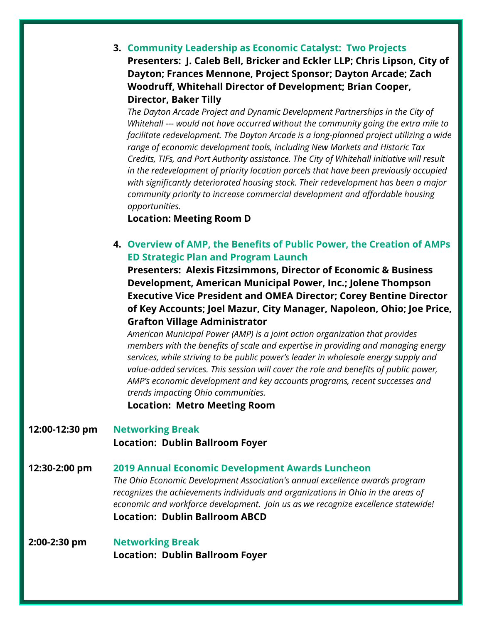**3. Community Leadership as Economic Catalyst: Two Projects Presenters: J. Caleb Bell, Bricker and Eckler LLP; Chris Lipson, City of Dayton; Frances Mennone, Project Sponsor; Dayton Arcade; Zach Woodruff, Whitehall Director of Development; Brian Cooper, Director, Baker Tilly**

*The Dayton Arcade Project and Dynamic Development Partnerships in the City of Whitehall --- would not have occurred without the community going the extra mile to facilitate redevelopment. The Dayton Arcade is a long-planned project utilizing a wide range of economic development tools, including New Markets and Historic Tax Credits, TIFs, and Port Authority assistance. The City of Whitehall initiative will result in the redevelopment of priority location parcels that have been previously occupied with significantly deteriorated housing stock. Their redevelopment has been a major community priority to increase commercial development and affordable housing opportunities.*

#### **Location: Meeting Room D**

#### **4. Overview of AMP, the Benefits of Public Power, the Creation of AMPs ED Strategic Plan and Program Launch**

**Presenters: Alexis Fitzsimmons, Director of Economic & Business Development, American Municipal Power, Inc.; Jolene Thompson Executive Vice President and OMEA Director; Corey Bentine Director of Key Accounts; Joel Mazur, City Manager, Napoleon, Ohio; Joe Price, Grafton Village Administrator**

*American Municipal Power (AMP) is a joint action organization that provides members with the benefits of scale and expertise in providing and managing energy services, while striving to be public power's leader in wholesale energy supply and value-added services. This session will cover the role and benefits of public power, AMP's economic development and key accounts programs, recent successes and trends impacting Ohio communities.* 

**Location: Metro Meeting Room**

- **12:00-12:30 pm Networking Break Location: Dublin Ballroom Foyer**
- **12:30-2:00 pm 2019 Annual Economic Development Awards Luncheon** *The Ohio Economic Development Association's annual excellence awards program recognizes the achievements individuals and organizations in Ohio in the areas of economic and workforce development. Join us as we recognize excellence statewide!*  **Location: Dublin Ballroom ABCD**
- **2:00-2:30 pm Networking Break Location: Dublin Ballroom Foyer**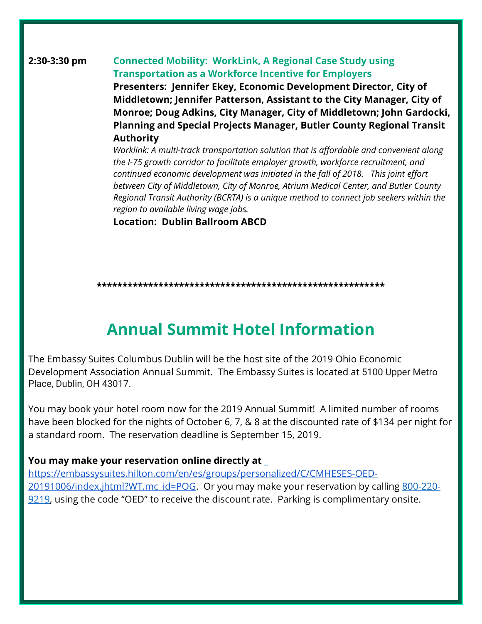#### **2:30-3:30 pm Connected Mobility: WorkLink, A Regional Case Study using Transportation as a Workforce Incentive for Employers**

**Presenters: Jennifer Ekey, Economic Development Director, City of Middletown; Jennifer Patterson, Assistant to the City Manager, City of Monroe; Doug Adkins, City Manager, City of Middletown; John Gardocki, Planning and Special Projects Manager, Butler County Regional Transit Authority**

*Worklink: A multi-track transportation solution that is affordable and convenient along the I-75 growth corridor to facilitate employer growth, workforce recruitment, and continued economic development was initiated in the fall of 2018. This joint effort between City of Middletown, City of Monroe, Atrium Medical Center, and Butler County Regional Transit Authority (BCRTA) is a unique method to connect job seekers within the region to available living wage jobs.* 

**Location: Dublin Ballroom ABCD**

#### **\*\*\*\*\*\*\*\*\*\*\*\*\*\*\*\*\*\*\*\*\*\*\*\*\*\*\*\*\*\*\*\*\*\*\*\*\*\*\*\*\*\*\*\*\*\*\*\*\*\*\*\*\*\*\*\***

## **Annual Summit Hotel Information**

The Embassy Suites Columbus Dublin will be the host site of the 2019 Ohio Economic Development Association Annual Summit. The Embassy Suites is located at 5100 Upper Metro Place, Dublin, OH 43017.

You may book your hotel room now for the 2019 Annual Summit! A limited number of rooms have been blocked for the nights of October 6, 7, & 8 at the discounted rate of \$134 per night for a standard room. The reservation deadline is September 15, 2019.

#### **You may make your reservation online directly at \_**

[https://embassysuites.hilton.com/en/es/groups/personalized/C/CMHESES-OED-](https://urldefense.proofpoint.com/v2/url?u=https-3A__embassysuites.hilton.com_en_es_groups_personalized_C_CMHESES-2DOED-2D20191006_index.jhtml-3FWT.mc-5Fid-3DPOG&d=DwMBAg&c=UBUNlEJYXKjGJoLCzYI9mwr9Xtww5319iRbAnU7MX80&r=VkxvhQFSZz34moSLSGz41HMS8N74nCDF6fAxyrN2HOI&m=jeUgk4c4SxpEjK_N-zPrQiRT__Gijzt1L8o2HrmLGc0&s=rmP2XySVcFSoeDdMKK2sNrnMrL_WP7GyS5N39vXP6Yw&e=)[20191006/index.jhtml?WT.mc\\_id=POG.](https://urldefense.proofpoint.com/v2/url?u=https-3A__embassysuites.hilton.com_en_es_groups_personalized_C_CMHESES-2DOED-2D20191006_index.jhtml-3FWT.mc-5Fid-3DPOG&d=DwMBAg&c=UBUNlEJYXKjGJoLCzYI9mwr9Xtww5319iRbAnU7MX80&r=VkxvhQFSZz34moSLSGz41HMS8N74nCDF6fAxyrN2HOI&m=jeUgk4c4SxpEjK_N-zPrQiRT__Gijzt1L8o2HrmLGc0&s=rmP2XySVcFSoeDdMKK2sNrnMrL_WP7GyS5N39vXP6Yw&e=) Or you may make your reservation by calling [800-220-](about:blank) [9219,](about:blank) using the code "OED" to receive the discount rate. Parking is complimentary onsite.